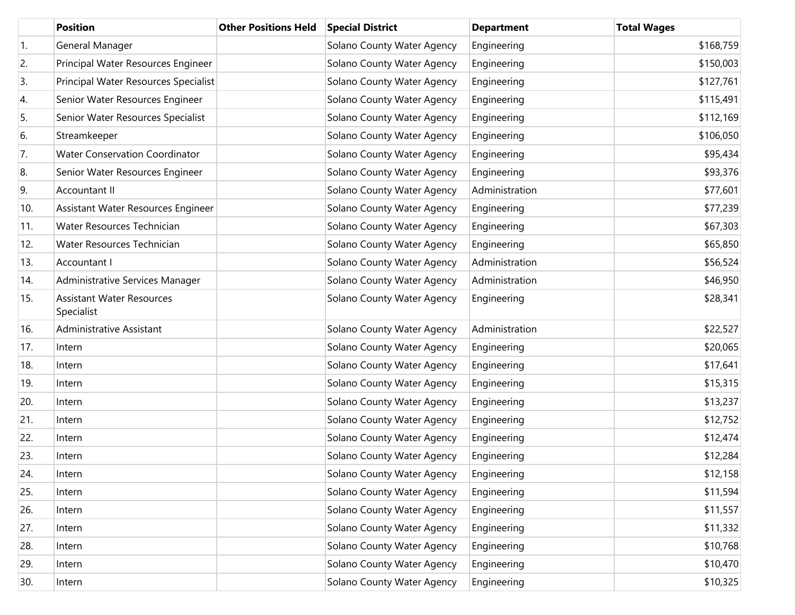|     | <b>Position</b>                                | <b>Other Positions Held</b> | <b>Special District</b>    | <b>Department</b> | <b>Total Wages</b> |
|-----|------------------------------------------------|-----------------------------|----------------------------|-------------------|--------------------|
| 1.  | General Manager                                |                             | Solano County Water Agency | Engineering       | \$168,759          |
| 2.  | Principal Water Resources Engineer             |                             | Solano County Water Agency | Engineering       | \$150,003          |
| 3.  | Principal Water Resources Specialist           |                             | Solano County Water Agency | Engineering       | \$127,761          |
| 4.  | Senior Water Resources Engineer                |                             | Solano County Water Agency | Engineering       | \$115,491          |
| 5.  | Senior Water Resources Specialist              |                             | Solano County Water Agency | Engineering       | \$112,169          |
| 6.  | Streamkeeper                                   |                             | Solano County Water Agency | Engineering       | \$106,050          |
| 7.  | <b>Water Conservation Coordinator</b>          |                             | Solano County Water Agency | Engineering       | \$95,434           |
| 8.  | Senior Water Resources Engineer                |                             | Solano County Water Agency | Engineering       | \$93,376           |
| 9.  | Accountant II                                  |                             | Solano County Water Agency | Administration    | \$77,601           |
| 10. | Assistant Water Resources Engineer             |                             | Solano County Water Agency | Engineering       | \$77,239           |
| 11. | Water Resources Technician                     |                             | Solano County Water Agency | Engineering       | \$67,303           |
| 12. | Water Resources Technician                     |                             | Solano County Water Agency | Engineering       | \$65,850           |
| 13. | Accountant I                                   |                             | Solano County Water Agency | Administration    | \$56,524           |
| 14. | Administrative Services Manager                |                             | Solano County Water Agency | Administration    | \$46,950           |
| 15. | <b>Assistant Water Resources</b><br>Specialist |                             | Solano County Water Agency | Engineering       | \$28,341           |
| 16. | Administrative Assistant                       |                             | Solano County Water Agency | Administration    | \$22,527           |
| 17. | Intern                                         |                             | Solano County Water Agency | Engineering       | \$20,065           |
| 18. | Intern                                         |                             | Solano County Water Agency | Engineering       | \$17,641           |
| 19. | Intern                                         |                             | Solano County Water Agency | Engineering       | \$15,315           |
| 20. | Intern                                         |                             | Solano County Water Agency | Engineering       | \$13,237           |
| 21. | Intern                                         |                             | Solano County Water Agency | Engineering       | \$12,752           |
| 22. | Intern                                         |                             | Solano County Water Agency | Engineering       | \$12,474           |
| 23. | Intern                                         |                             | Solano County Water Agency | Engineering       | \$12,284           |
| 24. | Intern                                         |                             | Solano County Water Agency | Engineering       | \$12,158           |
| 25. | Intern                                         |                             | Solano County Water Agency | Engineering       | \$11,594           |
| 26. | Intern                                         |                             | Solano County Water Agency | Engineering       | \$11,557           |
| 27. | Intern                                         |                             | Solano County Water Agency | Engineering       | \$11,332           |
| 28. | Intern                                         |                             | Solano County Water Agency | Engineering       | \$10,768           |
| 29. | Intern                                         |                             | Solano County Water Agency | Engineering       | \$10,470           |
| 30. | Intern                                         |                             | Solano County Water Agency | Engineering       | \$10,325           |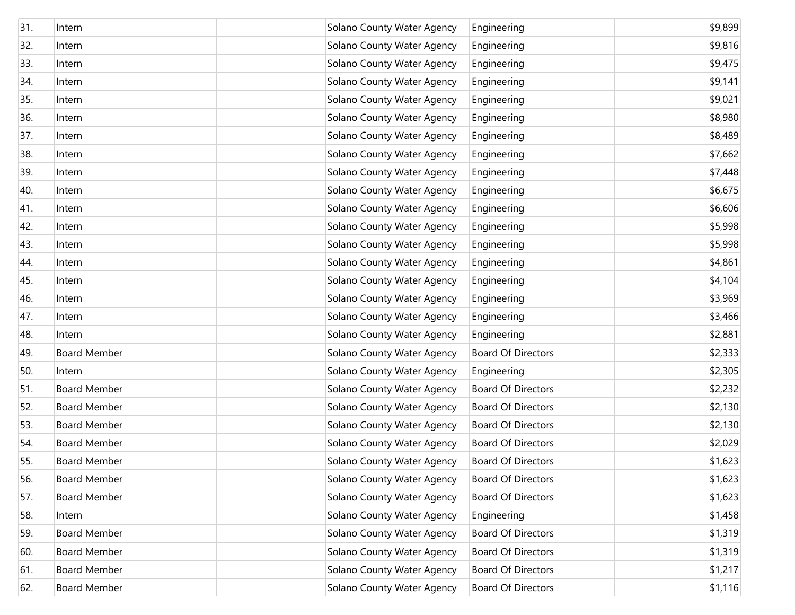| 31. | Intern              | Solano County Water Agency | Engineering               | \$9,899 |
|-----|---------------------|----------------------------|---------------------------|---------|
| 32. | Intern              | Solano County Water Agency | Engineering               | \$9,816 |
| 33. | Intern              | Solano County Water Agency | Engineering               | \$9,475 |
| 34. | Intern              | Solano County Water Agency | Engineering               | \$9,141 |
| 35. | Intern              | Solano County Water Agency | Engineering               | \$9,021 |
| 36. | Intern              | Solano County Water Agency | Engineering               | \$8,980 |
| 37. | Intern              | Solano County Water Agency | Engineering               | \$8,489 |
| 38. | Intern              | Solano County Water Agency | Engineering               | \$7,662 |
| 39. | Intern              | Solano County Water Agency | Engineering               | \$7,448 |
| 40. | Intern              | Solano County Water Agency | Engineering               | \$6,675 |
| 41. | Intern              | Solano County Water Agency | Engineering               | \$6,606 |
| 42. | Intern              | Solano County Water Agency | Engineering               | \$5,998 |
| 43. | Intern              | Solano County Water Agency | Engineering               | \$5,998 |
| 44. | Intern              | Solano County Water Agency | Engineering               | \$4,861 |
| 45. | Intern              | Solano County Water Agency | Engineering               | \$4,104 |
| 46. | Intern              | Solano County Water Agency | Engineering               | \$3,969 |
| 47. | Intern              | Solano County Water Agency | Engineering               | \$3,466 |
| 48. | Intern              | Solano County Water Agency | Engineering               | \$2,881 |
| 49. | <b>Board Member</b> | Solano County Water Agency | <b>Board Of Directors</b> | \$2,333 |
| 50. | Intern              | Solano County Water Agency | Engineering               | \$2,305 |
| 51. | <b>Board Member</b> | Solano County Water Agency | <b>Board Of Directors</b> | \$2,232 |
| 52. | <b>Board Member</b> | Solano County Water Agency | <b>Board Of Directors</b> | \$2,130 |
| 53. | <b>Board Member</b> | Solano County Water Agency | <b>Board Of Directors</b> | \$2,130 |
| 54. | <b>Board Member</b> | Solano County Water Agency | <b>Board Of Directors</b> | \$2,029 |
| 55. | <b>Board Member</b> | Solano County Water Agency | <b>Board Of Directors</b> | \$1,623 |
| 56. | <b>Board Member</b> | Solano County Water Agency | <b>Board Of Directors</b> | \$1,623 |
| 57. | <b>Board Member</b> | Solano County Water Agency | <b>Board Of Directors</b> | \$1,623 |
| 58. | Intern              | Solano County Water Agency | Engineering               | \$1,458 |
| 59. | <b>Board Member</b> | Solano County Water Agency | <b>Board Of Directors</b> | \$1,319 |
| 60. | <b>Board Member</b> | Solano County Water Agency | <b>Board Of Directors</b> | \$1,319 |
| 61. | <b>Board Member</b> | Solano County Water Agency | <b>Board Of Directors</b> | \$1,217 |
| 62. | <b>Board Member</b> | Solano County Water Agency | <b>Board Of Directors</b> | \$1,116 |